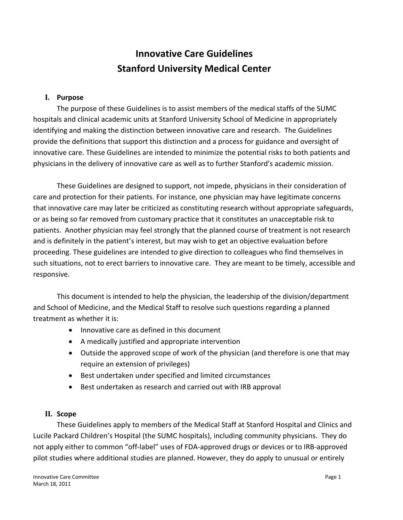# **Innovative Care Guidelines Stanford University Medical Center**

#### **I. Purpose**

The purpose of these Guidelines is to assist members of the medical staffs of the SUMC hospitals and clinical academic units at Stanford University School of Medicine in appropriately identifying and making the distinction between innovative care and research. The Guidelines provide the definitions that support this distinction and a process for guidance and oversight of innovative care. These Guidelines are intended to minimize the potential risks to both patients and physicians in the delivery of innovative care as well as to further Stanford's academic mission.

These Guidelines are designed to support, not impede, physicians in their consideration of care and protection for their patients. For instance, one physician may have legitimate concerns that innovative care may later be criticized as constituting research without appropriate safeguards, or as being so far removed from customary practice that it constitutes an unacceptable risk to patients. Another physician may feel strongly that the planned course of treatment is not research and is definitely in the patient's interest, but may wish to get an objective evaluation before proceeding. These guidelines are intended to give direction to colleagues who find themselves in such situations, not to erect barriers to innovative care. They are meant to be timely, accessible and responsive.

This document is intended to help the physician, the leadership of the division/department and School of Medicine, and the Medical Staff to resolve such questions regarding a planned treatment as whether it is:

- Innovative care as defined in this document
- A medically justified and appropriate intervention
- Outside the approved scope of work of the physician (and therefore is one that may require an extension of privileges)
- Best undertaken under specified and limited circumstances
- Best undertaken as research and carried out with IRB approval

#### **II. Scope**

These Guidelines apply to members of the Medical Staff at Stanford Hospital and Clinics and Lucile Packard Children's Hospital (the SUMC hospitals), including community physicians. They do not apply either to common "off‐label" uses of FDA‐approved drugs or devices or to IRB‐approved pilot studies where additional studies are planned. However, they do apply to unusual or entirely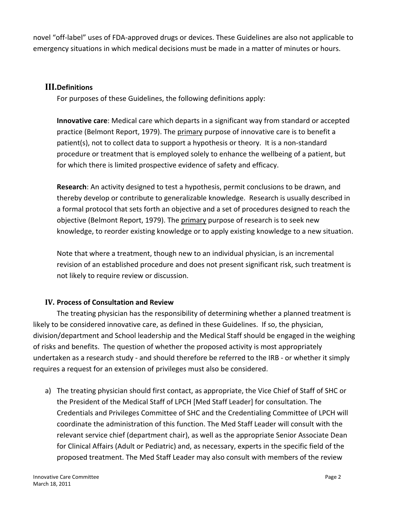novel "off‐label" uses of FDA‐approved drugs or devices. These Guidelines are also not applicable to emergency situations in which medical decisions must be made in a matter of minutes or hours.

#### **III.Definitions**

For purposes of these Guidelines, the following definitions apply:

**Innovative care**: Medical care which departs in a significant way from standard or accepted practice (Belmont Report, 1979). The primary purpose of innovative care is to benefit a patient(s), not to collect data to support a hypothesis or theory. It is a non‐standard procedure or treatment that is employed solely to enhance the wellbeing of a patient, but for which there is limited prospective evidence of safety and efficacy.

**Research**: An activity designed to test a hypothesis, permit conclusions to be drawn, and thereby develop or contribute to generalizable knowledge. Research is usually described in a formal protocol that sets forth an objective and a set of procedures designed to reach the objective (Belmont Report, 1979). The primary purpose of research is to seek new knowledge, to reorder existing knowledge or to apply existing knowledge to a new situation.

Note that where a treatment, though new to an individual physician, is an incremental revision of an established procedure and does not present significant risk, such treatment is not likely to require review or discussion.

#### **IV. Process of Consultation and Review**

 The treating physician has the responsibility of determining whether a planned treatment is likely to be considered innovative care, as defined in these Guidelines. If so, the physician, division/department and School leadership and the Medical Staff should be engaged in the weighing of risks and benefits. The question of whether the proposed activity is most appropriately undertaken as a research study ‐ and should therefore be referred to the IRB ‐ or whether it simply requires a request for an extension of privileges must also be considered.

a) The treating physician should first contact, as appropriate, the Vice Chief of Staff of SHC or the President of the Medical Staff of LPCH [Med Staff Leader] for consultation. The Credentials and Privileges Committee of SHC and the Credentialing Committee of LPCH will coordinate the administration of this function. The Med Staff Leader will consult with the relevant service chief (department chair), as well as the appropriate Senior Associate Dean for Clinical Affairs (Adult or Pediatric) and, as necessary, experts in the specific field of the proposed treatment. The Med Staff Leader may also consult with members of the review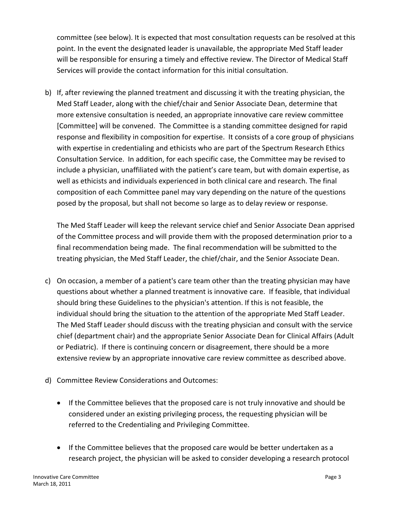committee (see below). It is expected that most consultation requests can be resolved at this point. In the event the designated leader is unavailable, the appropriate Med Staff leader will be responsible for ensuring a timely and effective review. The Director of Medical Staff Services will provide the contact information for this initial consultation.

b) If, after reviewing the planned treatment and discussing it with the treating physician, the Med Staff Leader, along with the chief/chair and Senior Associate Dean, determine that more extensive consultation is needed, an appropriate innovative care review committee [Committee] will be convened. The Committee is a standing committee designed for rapid response and flexibility in composition for expertise. It consists of a core group of physicians with expertise in credentialing and ethicists who are part of the Spectrum Research Ethics Consultation Service. In addition, for each specific case, the Committee may be revised to include a physician, unaffiliated with the patient's care team, but with domain expertise, as well as ethicists and individuals experienced in both clinical care and research. The final composition of each Committee panel may vary depending on the nature of the questions posed by the proposal, but shall not become so large as to delay review or response.

The Med Staff Leader will keep the relevant service chief and Senior Associate Dean apprised of the Committee process and will provide them with the proposed determination prior to a final recommendation being made. The final recommendation will be submitted to the treating physician, the Med Staff Leader, the chief/chair, and the Senior Associate Dean.

- c) On occasion, a member of a patient's care team other than the treating physician may have questions about whether a planned treatment is innovative care. If feasible, that individual should bring these Guidelines to the physician's attention. If this is not feasible, the individual should bring the situation to the attention of the appropriate Med Staff Leader. The Med Staff Leader should discuss with the treating physician and consult with the service chief (department chair) and the appropriate Senior Associate Dean for Clinical Affairs (Adult or Pediatric). If there is continuing concern or disagreement, there should be a more extensive review by an appropriate innovative care review committee as described above.
- d) Committee Review Considerations and Outcomes:
	- If the Committee believes that the proposed care is not truly innovative and should be considered under an existing privileging process, the requesting physician will be referred to the Credentialing and Privileging Committee.
	- If the Committee believes that the proposed care would be better undertaken as a research project, the physician will be asked to consider developing a research protocol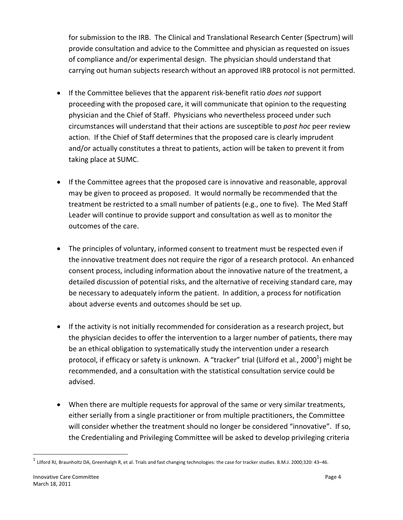for submission to the IRB. The Clinical and Translational Research Center (Spectrum) will provide consultation and advice to the Committee and physician as requested on issues of compliance and/or experimental design. The physician should understand that carrying out human subjects research without an approved IRB protocol is not permitted.

- If the Committee believes that the apparent risk‐benefit ratio *does not* support proceeding with the proposed care, it will communicate that opinion to the requesting physician and the Chief of Staff. Physicians who nevertheless proceed under such circumstances will understand that their actions are susceptible to *post hoc* peer review action. If the Chief of Staff determines that the proposed care is clearly imprudent and/or actually constitutes a threat to patients, action will be taken to prevent it from taking place at SUMC.
- If the Committee agrees that the proposed care is innovative and reasonable, approval may be given to proceed as proposed. It would normally be recommended that the treatment be restricted to a small number of patients (e.g., one to five). The Med Staff Leader will continue to provide support and consultation as well as to monitor the outcomes of the care.
- The principles of voluntary, informed consent to treatment must be respected even if the innovative treatment does not require the rigor of a research protocol. An enhanced consent process, including information about the innovative nature of the treatment, a detailed discussion of potential risks, and the alternative of receiving standard care, may be necessary to adequately inform the patient. In addition, a process for notification about adverse events and outcomes should be set up.
- If the activity is not initially recommended for consideration as a research project, but the physician decides to offer the intervention to a larger number of patients, there may be an ethical obligation to systematically study the intervention under a research protocol, if efficacy or safety is unknown. A "tracker" trial (Lilford et al., 2000<sup>1</sup>) might be recommended, and a consultation with the statistical consultation service could be advised.
- When there are multiple requests for approval of the same or very similar treatments, either serially from a single practitioner or from multiple practitioners, the Committee will consider whether the treatment should no longer be considered "innovative". If so, the Credentialing and Privileging Committee will be asked to develop privileging criteria

 $1$  Lilford RJ, Braunholtz DA, Greenhalgh R, et al. Trials and fast changing technologies: the case for tracker studies. B.M.J. 2000;320: 43-46.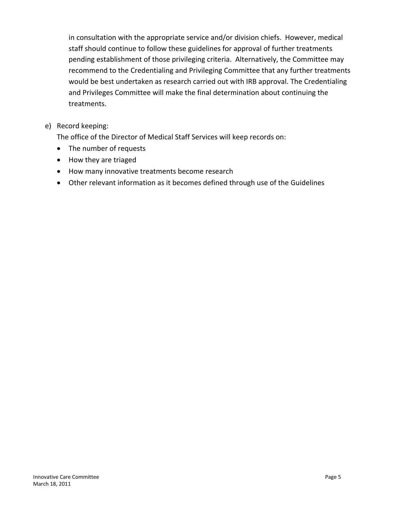in consultation with the appropriate service and/or division chiefs. However, medical staff should continue to follow these guidelines for approval of further treatments pending establishment of those privileging criteria. Alternatively, the Committee may recommend to the Credentialing and Privileging Committee that any further treatments would be best undertaken as research carried out with IRB approval. The Credentialing and Privileges Committee will make the final determination about continuing the treatments.

e) Record keeping:

The office of the Director of Medical Staff Services will keep records on:

- The number of requests
- How they are triaged
- How many innovative treatments become research
- Other relevant information as it becomes defined through use of the Guidelines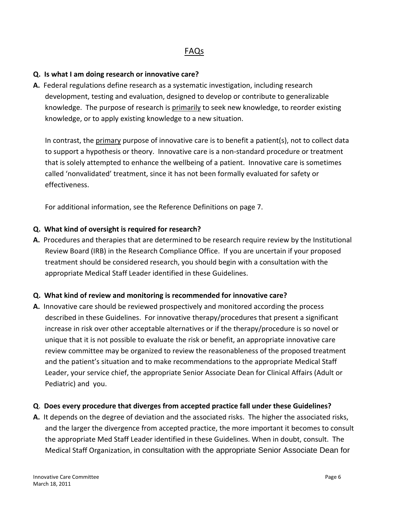# FAQs

#### **Q. Is what I am doing research or innovative care?**

**A.** Federal regulations define research as a systematic investigation, including research development, testing and evaluation, designed to develop or contribute to generalizable knowledge. The purpose of research is primarily to seek new knowledge, to reorder existing knowledge, or to apply existing knowledge to a new situation.

In contrast, the primary purpose of innovative care is to benefit a patient(s), not to collect data to support a hypothesis or theory. Innovative care is a non‐standard procedure or treatment that is solely attempted to enhance the wellbeing of a patient. Innovative care is sometimes called 'nonvalidated' treatment, since it has not been formally evaluated for safety or effectiveness.

For additional information, see the Reference Definitions on page 7.

#### **Q. What kind of oversight is required for research?**

**A.** Procedures and therapies that are determined to be research require review by the Institutional Review Board (IRB) in the Research Compliance Office. If you are uncertain if your proposed treatment should be considered research, you should begin with a consultation with the appropriate Medical Staff Leader identified in these Guidelines.

#### **Q. What kind of review and monitoring is recommended for innovative care?**

**A.** Innovative care should be reviewed prospectively and monitored according the process described in these Guidelines. For innovative therapy/procedures that present a significant increase in risk over other acceptable alternatives or if the therapy/procedure is so novel or unique that it is not possible to evaluate the risk or benefit, an appropriate innovative care review committee may be organized to review the reasonableness of the proposed treatment and the patient's situation and to make recommendations to the appropriate Medical Staff Leader, your service chief, the appropriate Senior Associate Dean for Clinical Affairs (Adult or Pediatric) and you.

#### **Q**. **Does every procedure that diverges from accepted practice fall under these Guidelines?**

**A.** It depends on the degree of deviation and the associated risks. The higher the associated risks, and the larger the divergence from accepted practice, the more important it becomes to consult the appropriate Med Staff Leader identified in these Guidelines. When in doubt, consult. The Medical Staff Organization, in consultation with the appropriate Senior Associate Dean for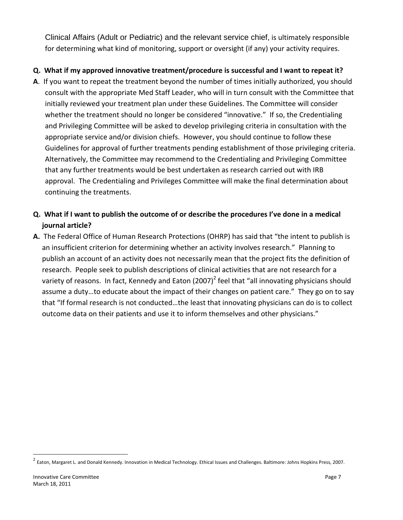Clinical Affairs (Adult or Pediatric) and the relevant service chief, is ultimately responsible for determining what kind of monitoring, support or oversight (if any) your activity requires.

### **Q. What if my approved innovative treatment/procedure is successful and I want to repeat it?**

**A**. If you want to repeat the treatment beyond the number of times initially authorized, you should consult with the appropriate Med Staff Leader, who will in turn consult with the Committee that initially reviewed your treatment plan under these Guidelines. The Committee will consider whether the treatment should no longer be considered "innovative." If so, the Credentialing and Privileging Committee will be asked to develop privileging criteria in consultation with the appropriate service and/or division chiefs. However, you should continue to follow these Guidelines for approval of further treatments pending establishment of those privileging criteria. Alternatively, the Committee may recommend to the Credentialing and Privileging Committee that any further treatments would be best undertaken as research carried out with IRB approval. The Credentialing and Privileges Committee will make the final determination about continuing the treatments.

# Q. What if I want to publish the outcome of or describe the procedures I've done in a medical **journal article?**

**A.** The Federal Office of Human Research Protections (OHRP) has said that "the intent to publish is an insufficient criterion for determining whether an activity involves research." Planning to publish an account of an activity does not necessarily mean that the project fits the definition of research. People seek to publish descriptions of clinical activities that are not research for a variety of reasons. In fact, Kennedy and Eaton  $(2007)^2$  feel that "all innovating physicians should assume a duty…to educate about the impact of their changes on patient care." They go on to say that "If formal research is not conducted…the least that innovating physicians can do is to collect outcome data on their patients and use it to inform themselves and other physicians."

<sup>&</sup>lt;sup>2</sup> Eaton, Margaret L. and Donald Kennedy. Innovation in Medical Technology. Ethical Issues and Challenges. Baltimore: Johns Hopkins Press, 2007.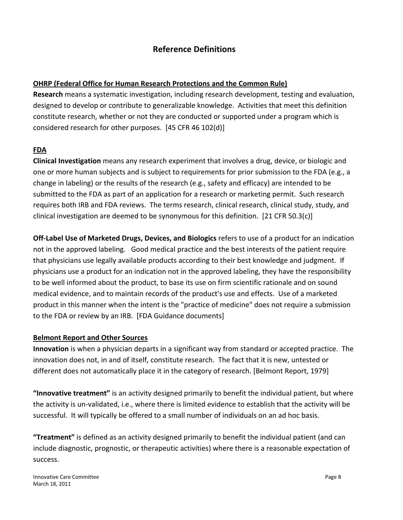## **Reference Definitions**

#### **OHRP (Federal Office for Human Research Protections and the Common Rule)**

**Research** means a systematic investigation, including research development, testing and evaluation, designed to develop or contribute to generalizable knowledge. Activities that meet this definition constitute research, whether or not they are conducted or supported under a program which is considered research for other purposes. [45 CFR 46 102(d)]

#### **FDA**

**Clinical Investigation** means any research experiment that involves a drug, device, or biologic and one or more human subjects and is subject to requirements for prior submission to the FDA (e.g., a change in labeling) or the results of the research (e.g., safety and efficacy) are intended to be submitted to the FDA as part of an application for a research or marketing permit. Such research requires both IRB and FDA reviews. The terms research, clinical research, clinical study, study, and clinical investigation are deemed to be synonymous for this definition. [21 CFR 50.3(c)]

**Off‐Label Use of Marketed Drugs, Devices, and Biologics** refers to use of a product for an indication not in the approved labeling. Good medical practice and the best interests of the patient require that physicians use legally available products according to their best knowledge and judgment. If physicians use a product for an indication not in the approved labeling, they have the responsibility to be well informed about the product, to base its use on firm scientific rationale and on sound medical evidence, and to maintain records of the product's use and effects. Use of a marketed product in this manner when the intent is the "practice of medicine" does not require a submission to the FDA or review by an IRB. [FDA Guidance documents]

#### **Belmont Report and Other Sources**

**Innovation** is when a physician departs in a significant way from standard or accepted practice. The innovation does not, in and of itself, constitute research. The fact that it is new, untested or different does not automatically place it in the category of research. [Belmont Report, 1979]

**"Innovative treatment"** is an activity designed primarily to benefit the individual patient, but where the activity is un‐validated, i.e., where there is limited evidence to establish that the activity will be successful. It will typically be offered to a small number of individuals on an ad hoc basis.

**"Treatment"** is defined as an activity designed primarily to benefit the individual patient (and can include diagnostic, prognostic, or therapeutic activities) where there is a reasonable expectation of success.